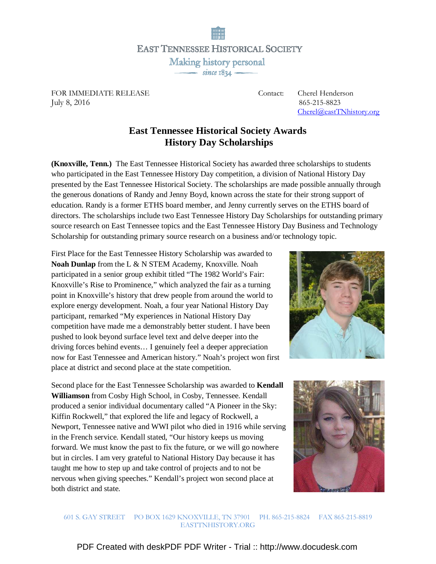**EAST TENNESSEE HISTORICAL SOCIETY** Making history personal<br>
since 1834

FOR IMMEDIATE RELEASE Contact: Cherel Henderson July 8, 2016 865-215-8823

Cherel@eastTNhistory.org

## **East Tennessee Historical Society Awards History Day Scholarships**

**(Knoxville, Tenn.)** The East Tennessee Historical Society has awarded three scholarships to students who participated in the East Tennessee History Day competition, a division of National History Day presented by the East Tennessee Historical Society. The scholarships are made possible annually through the generous donations of Randy and Jenny Boyd, known across the state for their strong support of education. Randy is a former ETHS board member, and Jenny currently serves on the ETHS board of directors. The scholarships include two East Tennessee History Day Scholarships for outstanding primary source research on East Tennessee topics and the East Tennessee History Day Business and Technology Scholarship for outstanding primary source research on a business and/or technology topic.

First Place for the East Tennessee History Scholarship was awarded to **Noah Dunlap** from the L & N STEM Academy, Knoxville. Noah participated in a senior group exhibit titled "The 1982 World's Fair: Knoxville's Rise to Prominence," which analyzed the fair as a turning point in Knoxville's history that drew people from around the world to explore energy development. Noah, a four year National History Day participant, remarked "My experiences in National History Day competition have made me a demonstrably better student. I have been pushed to look beyond surface level text and delve deeper into the driving forces behind events… I genuinely feel a deeper appreciation now for East Tennessee and American history." Noah's project won first place at district and second place at the state competition.

Second place for the East Tennessee Scholarship was awarded to **Kendall Williamson** from Cosby High School, in Cosby, Tennessee. Kendall produced a senior individual documentary called "A Pioneer in the Sky: Kiffin Rockwell," that explored the life and legacy of Rockwell, a Newport, Tennessee native and WWI pilot who died in 1916 while serving in the French service. Kendall stated, "Our history keeps us moving forward. We must know the past to fix the future, or we will go nowhere but in circles. I am very grateful to National History Day because it has taught me how to step up and take control of projects and to not be nervous when giving speeches." Kendall's project won second place at both district and state.





601 S. GAY STREET PO BOX 1629 KNOXVILLE, TN 37901 PH. 865-215-8824 FAX 865-215-8819 EASTTNHISTORY.ORG

[PDF Created with deskPDF PDF Writer - Trial :: http://www.docudesk.com](http://www.docudesk.com)